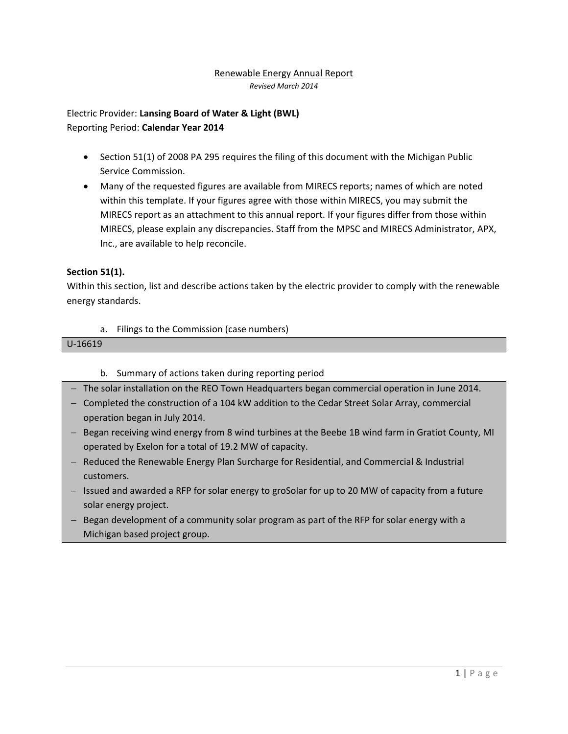#### Renewable Energy Annual Report *Revised March 2014*

Electric Provider: **Lansing Board of Water & Light (BWL)** Reporting Period: **Calendar Year 2014**

- Section 51(1) of 2008 PA 295 requires the filing of this document with the Michigan Public Service Commission.
- Many of the requested figures are available from MIRECS reports; names of which are noted within this template. If your figures agree with those within MIRECS, you may submit the MIRECS report as an attachment to this annual report. If your figures differ from those within MIRECS, please explain any discrepancies. Staff from the MPSC and MIRECS Administrator, APX, Inc., are available to help reconcile.

# **Section 51(1).**

Within this section, list and describe actions taken by the electric provider to comply with the renewable energy standards.

a. Filings to the Commission (case numbers)

### U-16619

- b. Summary of actions taken during reporting period
- The solar installation on the REO Town Headquarters began commercial operation in June 2014.
- Completed the construction of a 104 kW addition to the Cedar Street Solar Array, commercial operation began in July 2014.
- Began receiving wind energy from 8 wind turbines at the Beebe 1B wind farm in Gratiot County, MI operated by Exelon for a total of 19.2 MW of capacity.
- Reduced the Renewable Energy Plan Surcharge for Residential, and Commercial & Industrial customers.
- Issued and awarded a RFP for solar energy to groSolar for up to 20 MW of capacity from a future solar energy project.
- Began development of a community solar program as part of the RFP for solar energy with a Michigan based project group.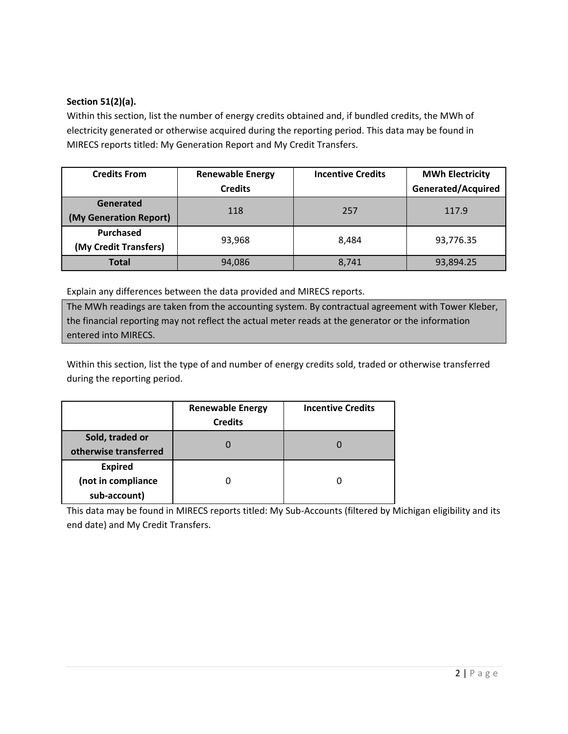# **Section 51(2)(a).**

Within this section, list the number of energy credits obtained and, if bundled credits, the MWh of electricity generated or otherwise acquired during the reporting period. This data may be found in MIRECS reports titled: My Generation Report and My Credit Transfers.

| <b>Credits From</b>                 | <b>Renewable Energy</b><br><b>Credits</b> | <b>Incentive Credits</b> | <b>MWh Electricity</b><br><b>Generated/Acquired</b> |
|-------------------------------------|-------------------------------------------|--------------------------|-----------------------------------------------------|
| Generated<br>(My Generation Report) | 118                                       | 257                      | 117.9                                               |
| Purchased<br>(My Credit Transfers)  | 93,968                                    | 8.484                    | 93,776.35                                           |
| <b>Total</b>                        | 94,086                                    | 8,741                    | 93,894.25                                           |

Explain any differences between the data provided and MIRECS reports.

The MWh readings are taken from the accounting system. By contractual agreement with Tower Kleber, the financial reporting may not reflect the actual meter reads at the generator or the information entered into MIRECS.

Within this section, list the type of and number of energy credits sold, traded or otherwise transferred during the reporting period.

|                                                      | <b>Renewable Energy</b><br><b>Credits</b> | <b>Incentive Credits</b> |
|------------------------------------------------------|-------------------------------------------|--------------------------|
| Sold, traded or<br>otherwise transferred             |                                           |                          |
| <b>Expired</b><br>(not in compliance<br>sub-account) |                                           |                          |

This data may be found in MIRECS reports titled: My Sub-Accounts (filtered by Michigan eligibility and its end date) and My Credit Transfers.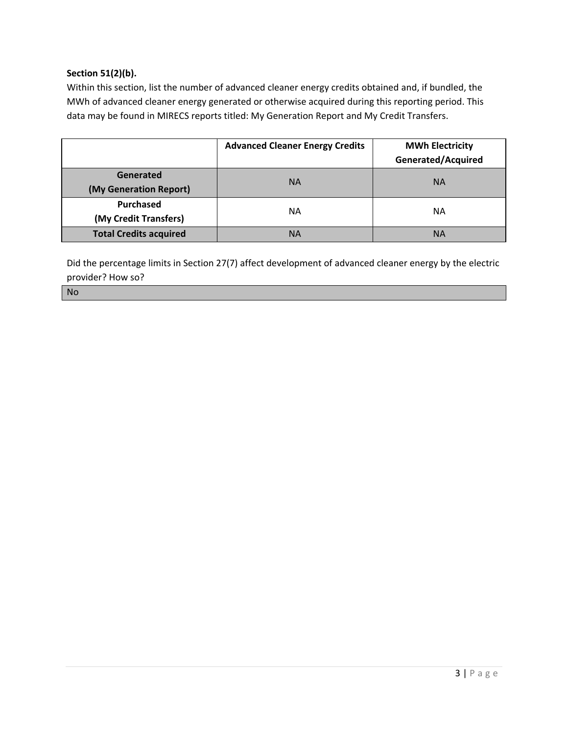# **Section 51(2)(b).**

Within this section, list the number of advanced cleaner energy credits obtained and, if bundled, the MWh of advanced cleaner energy generated or otherwise acquired during this reporting period. This data may be found in MIRECS reports titled: My Generation Report and My Credit Transfers.

|                                     | <b>Advanced Cleaner Energy Credits</b> | <b>MWh Electricity</b><br>Generated/Acquired |
|-------------------------------------|----------------------------------------|----------------------------------------------|
| Generated<br>(My Generation Report) | <b>NA</b>                              | <b>NA</b>                                    |
| Purchased<br>(My Credit Transfers)  | NΑ                                     | NА                                           |
| <b>Total Credits acquired</b>       | ΝA                                     | <b>NA</b>                                    |

Did the percentage limits in Section 27(7) affect development of advanced cleaner energy by the electric provider? How so?

#### No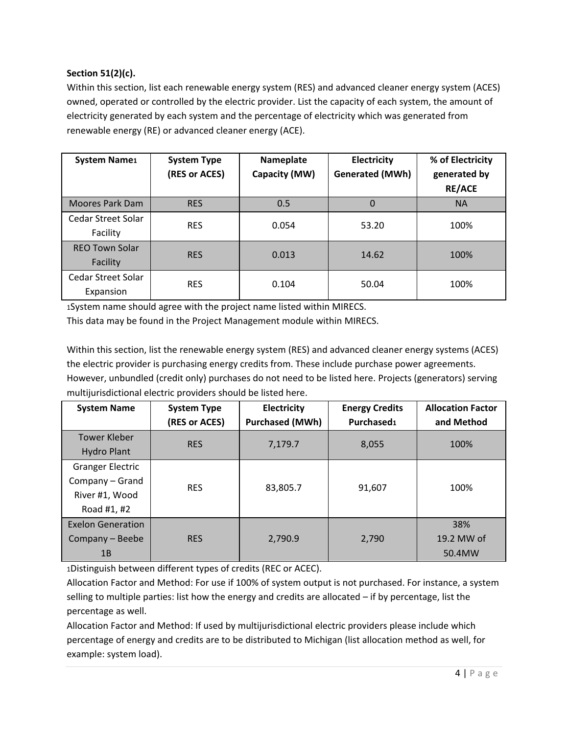# **Section 51(2)(c).**

Within this section, list each renewable energy system (RES) and advanced cleaner energy system (ACES) owned, operated or controlled by the electric provider. List the capacity of each system, the amount of electricity generated by each system and the percentage of electricity which was generated from renewable energy (RE) or advanced cleaner energy (ACE).

| <b>System Name1</b>               | <b>System Type</b><br>(RES or ACES) | Nameplate<br>Capacity (MW) | Electricity<br><b>Generated (MWh)</b> | % of Electricity<br>generated by<br><b>RE/ACE</b> |
|-----------------------------------|-------------------------------------|----------------------------|---------------------------------------|---------------------------------------------------|
| Moores Park Dam                   | <b>RES</b>                          | 0.5                        | 0                                     | <b>NA</b>                                         |
| Cedar Street Solar<br>Facility    | <b>RES</b>                          | 0.054                      | 53.20                                 | 100%                                              |
| <b>REO Town Solar</b><br>Facility | <b>RES</b>                          | 0.013                      | 14.62                                 | 100%                                              |
| Cedar Street Solar<br>Expansion   | <b>RES</b>                          | 0.104                      | 50.04                                 | 100%                                              |

1System name should agree with the project name listed within MIRECS.

This data may be found in the Project Management module within MIRECS.

Within this section, list the renewable energy system (RES) and advanced cleaner energy systems (ACES) the electric provider is purchasing energy credits from. These include purchase power agreements. However, unbundled (credit only) purchases do not need to be listed here. Projects (generators) serving multijurisdictional electric providers should be listed here.

| <b>System Name</b>       | Electricity<br><b>System Type</b> |                        | <b>Energy Credits</b>  | <b>Allocation Factor</b> |  |
|--------------------------|-----------------------------------|------------------------|------------------------|--------------------------|--|
|                          | (RES or ACES)                     | <b>Purchased (MWh)</b> | Purchased <sub>1</sub> | and Method               |  |
| <b>Tower Kleber</b>      | <b>RES</b>                        |                        |                        | 100%                     |  |
| <b>Hydro Plant</b>       |                                   | 7,179.7                | 8,055                  |                          |  |
| <b>Granger Electric</b>  |                                   |                        |                        |                          |  |
| Company - Grand          | <b>RES</b>                        |                        |                        | 100%                     |  |
| River #1, Wood           |                                   | 83,805.7               | 91,607                 |                          |  |
| Road #1, #2              |                                   |                        |                        |                          |  |
| <b>Exelon Generation</b> |                                   |                        |                        | 38%                      |  |
| Company - Beebe          | <b>RES</b>                        | 2,790.9                | 2,790                  | 19.2 MW of               |  |
| 1B                       |                                   |                        |                        | 50.4MW                   |  |

1Distinguish between different types of credits (REC or ACEC).

Allocation Factor and Method: For use if 100% of system output is not purchased. For instance, a system selling to multiple parties: list how the energy and credits are allocated – if by percentage, list the percentage as well.

Allocation Factor and Method: If used by multijurisdictional electric providers please include which percentage of energy and credits are to be distributed to Michigan (list allocation method as well, for example: system load).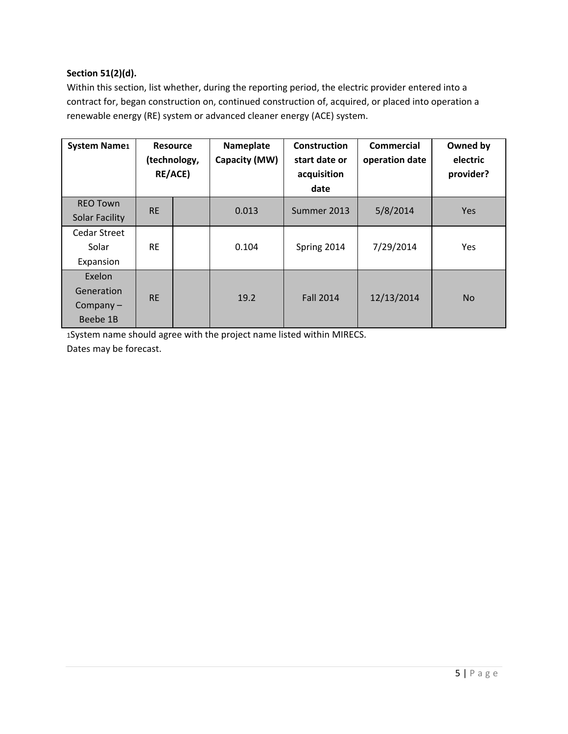# **Section 51(2)(d).**

Within this section, list whether, during the reporting period, the electric provider entered into a contract for, began construction on, continued construction of, acquired, or placed into operation a renewable energy (RE) system or advanced cleaner energy (ACE) system.

| <b>System Name1</b>                             |           | <b>Resource</b><br>(technology,<br><b>RE/ACE)</b> | Nameplate<br>Capacity (MW) | <b>Construction</b><br>start date or<br>acquisition<br>date | <b>Commercial</b><br>operation date | Owned by<br>electric<br>provider? |
|-------------------------------------------------|-----------|---------------------------------------------------|----------------------------|-------------------------------------------------------------|-------------------------------------|-----------------------------------|
| <b>REO Town</b><br><b>Solar Facility</b>        | <b>RE</b> |                                                   | 0.013                      | Summer 2013                                                 | 5/8/2014                            | Yes                               |
| <b>Cedar Street</b><br>Solar<br>Expansion       | <b>RE</b> |                                                   | 0.104                      | Spring 2014                                                 | 7/29/2014                           | Yes                               |
| Exelon<br>Generation<br>Company $-$<br>Beebe 1B | <b>RE</b> |                                                   | 19.2                       | <b>Fall 2014</b>                                            | 12/13/2014                          | <b>No</b>                         |

1System name should agree with the project name listed within MIRECS. Dates may be forecast.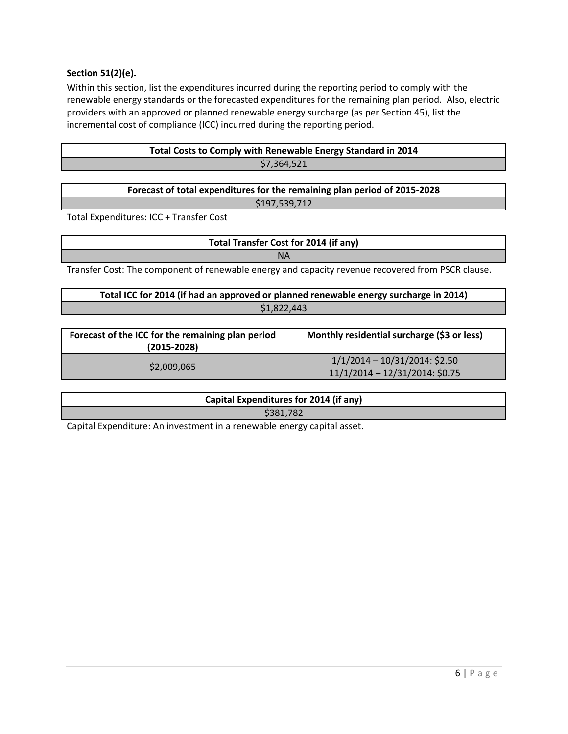### **Section 51(2)(e).**

Within this section, list the expenditures incurred during the reporting period to comply with the renewable energy standards or the forecasted expenditures for the remaining plan period. Also, electric providers with an approved or planned renewable energy surcharge (as per Section 45), list the incremental cost of compliance (ICC) incurred during the reporting period.

| Total Costs to Comply with Renewable Energy Standard in 2014 |  |
|--------------------------------------------------------------|--|
| \$7,364,521                                                  |  |

| Forecast of total expenditures for the remaining plan period of 2015-2028 |  |
|---------------------------------------------------------------------------|--|
| \$197,539,712                                                             |  |

Total Expenditures: ICC + Transfer Cost

**Total Transfer Cost for 2014 (if any)** NA

Transfer Cost: The component of renewable energy and capacity revenue recovered from PSCR clause.

| Total ICC for 2014 (if had an approved or planned renewable energy surcharge in 2014) |  |
|---------------------------------------------------------------------------------------|--|
| \$1.822.443                                                                           |  |

| Forecast of the ICC for the remaining plan period<br>$(2015 - 2028)$ | Monthly residential surcharge (\$3 or less)                           |
|----------------------------------------------------------------------|-----------------------------------------------------------------------|
| \$2,009,065                                                          | $1/1/2014 - 10/31/2014$ : \$2.50<br>$11/1/2014 - 12/31/2014$ : \$0.75 |

| Capital Expenditures for 2014 (if any) |  |
|----------------------------------------|--|
| \$381,782                              |  |

Capital Expenditure: An investment in a renewable energy capital asset.